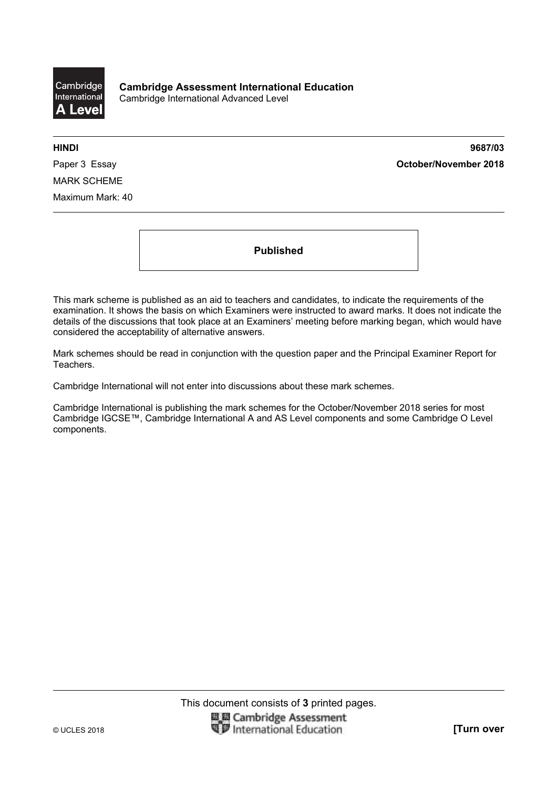

**HINDI 9687/03**  Paper 3 Essay **October/November 2018**

MARK SCHEME Maximum Mark: 40

**Published** 

This mark scheme is published as an aid to teachers and candidates, to indicate the requirements of the examination. It shows the basis on which Examiners were instructed to award marks. It does not indicate the details of the discussions that took place at an Examiners' meeting before marking began, which would have considered the acceptability of alternative answers.

Mark schemes should be read in conjunction with the question paper and the Principal Examiner Report for Teachers.

Cambridge International will not enter into discussions about these mark schemes.

Cambridge International is publishing the mark schemes for the October/November 2018 series for most Cambridge IGCSE™, Cambridge International A and AS Level components and some Cambridge O Level components.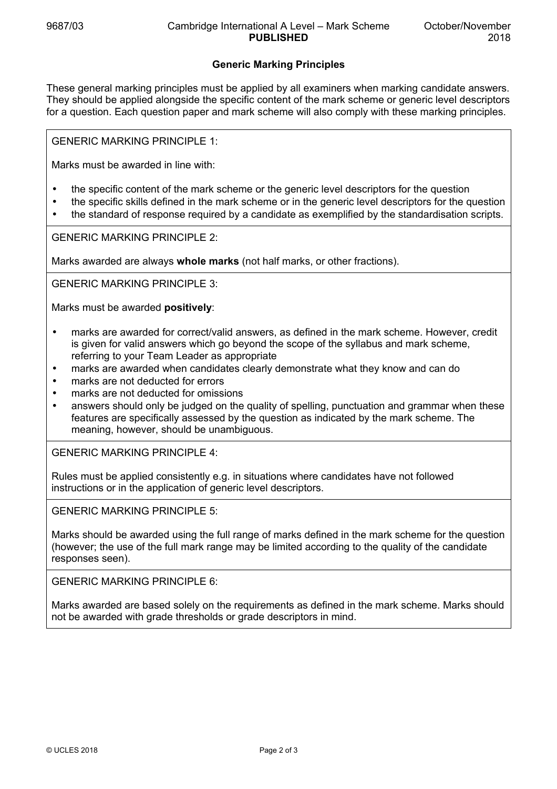## **Generic Marking Principles**

These general marking principles must be applied by all examiners when marking candidate answers. They should be applied alongside the specific content of the mark scheme or generic level descriptors for a question. Each question paper and mark scheme will also comply with these marking principles.

GENERIC MARKING PRINCIPLE 1:

Marks must be awarded in line with:

- the specific content of the mark scheme or the generic level descriptors for the question
- the specific skills defined in the mark scheme or in the generic level descriptors for the question
- the standard of response required by a candidate as exemplified by the standardisation scripts.

GENERIC MARKING PRINCIPLE 2:

Marks awarded are always **whole marks** (not half marks, or other fractions).

GENERIC MARKING PRINCIPLE 3:

Marks must be awarded **positively**:

- marks are awarded for correct/valid answers, as defined in the mark scheme. However, credit is given for valid answers which go beyond the scope of the syllabus and mark scheme, referring to your Team Leader as appropriate
- marks are awarded when candidates clearly demonstrate what they know and can do
- marks are not deducted for errors
- marks are not deducted for omissions
- answers should only be judged on the quality of spelling, punctuation and grammar when these features are specifically assessed by the question as indicated by the mark scheme. The meaning, however, should be unambiguous.

GENERIC MARKING PRINCIPLE 4:

Rules must be applied consistently e.g. in situations where candidates have not followed instructions or in the application of generic level descriptors.

GENERIC MARKING PRINCIPLE 5:

Marks should be awarded using the full range of marks defined in the mark scheme for the question (however; the use of the full mark range may be limited according to the quality of the candidate responses seen).

GENERIC MARKING PRINCIPLE 6:

Marks awarded are based solely on the requirements as defined in the mark scheme. Marks should not be awarded with grade thresholds or grade descriptors in mind.